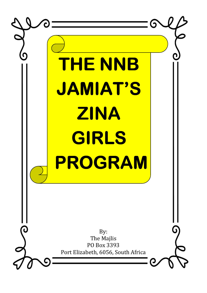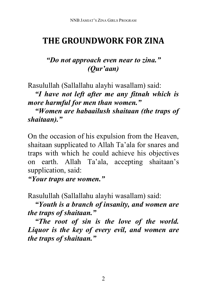# **THE GROUNDWORK FOR ZINA**

## *"Do not approach even near to zina." (Qur'aan)*

Rasulullah (Sallallahu alayhi wasallam) said:

 *"I have not left after me any fitnah which is more harmful for men than women."* 

 *"Women are habaailush shaitaan (the traps of shaitaan)."* 

On the occasion of his expulsion from the Heaven, shaitaan supplicated to Allah Ta'ala for snares and traps with which he could achieve his objectives on earth. Allah Ta'ala, accepting shaitaan's supplication, said:

*"Your traps are women."*

Rasulullah (Sallallahu alayhi wasallam) said:

 *"Youth is a branch of insanity, and women are the traps of shaitaan."* 

 *"The root of sin is the love of the world. Liquor is the key of every evil, and women are the traps of shaitaan."*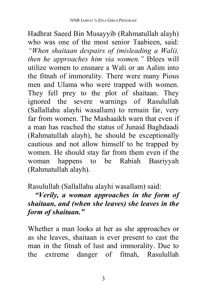Hadhrat Saeed Bin Musayyib (Rahmatullah alayh) who was one of the most senior Taabieen, said: *"When shaitaan despairs of (misleading a Wali), then he approaches him via women."* Iblees will utilize women to ensnare a Wali or an Aalim into the fitnah of immorality. There were many Pious men and Ulama who were trapped with women. They fell prey to the plot of shaitaan. They ignored the severe warnings of Rasulullah (Sallallahu alayhi wasallam) to remain far, very far from women. The Mashaaikh warn that even if a man has reached the status of Junaid Baghdaadi (Rahmatullah alayh), he should be exceptionally cautious and not allow himself to be trapped by women. He should stay far from them even if the woman happens to be Rabiah Basriyyah (Rahmatullah alayh).

Rasulullah (Sallallahu alayhi wasallam) said:

### *"Verily, a woman approaches in the form of shaitaan, and (when she leaves) she leaves in the form of shaitaan."*

Whether a man looks at her as she approaches or as she leaves, shaitaan is ever present to cast the man in the fitnah of lust and immorality. Due to the extreme danger of fitnah, Rasulullah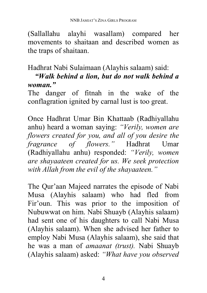(Sallallahu alayhi wasallam) compared her movements to shaitaan and described women as the traps of shaitaan.

#### Hadhrat Nabi Sulaimaan (Alayhis salaam) said:

### *"Walk behind a lion, but do not walk behind a woman."*

The danger of fitnah in the wake of the conflagration ignited by carnal lust is too great.

Once Hadhrat Umar Bin Khattaab (Radhiyallahu anhu) heard a woman saying: *"Verily, women are flowers created for you, and all of you desire the fragrance of flowers."* Hadhrat Umar (Radhiyallahu anhu) responded: *"Verily, women are shayaateen created for us. We seek protection with Allah from the evil of the shayaateen."* 

The Qur'aan Majeed narrates the episode of Nabi Musa (Alayhis salaam) who had fled from Fir'oun. This was prior to the imposition of Nubuwwat on him. Nabi Shuayb (Alayhis salaam) had sent one of his daughters to call Nabi Musa (Alayhis salaam). When she advised her father to employ Nabi Musa (Alayhis salaam), she said that he was a man of *amaanat (trust).* Nabi Shuayb (Alayhis salaam) asked: *"What have you observed*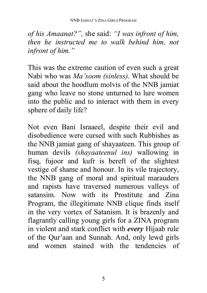*of his Amaanat?",* she said: *"I was infront of him, then he instructed me to walk behind him, not infront of him."* 

This was the extreme caution of even such a great Nabi who was *Ma'soom (sinless).* What should be said about the hoodlum molvis of the NNB jamiat gang who leave no stone unturned to lure women into the public and to interact with them in every sphere of daily life?

Not even Bani Israaeel, despite their evil and disobedience were cursed with such Rubbishes as the NNB jamiat gang of shayaateen. This group of human devils *(shayaateenul ins)* wallowing in fisq, fujoor and kufr is bereft of the slightest vestige of shame and honour. In its vile trajectory, the NNB gang of moral and spiritual marauders and rapists have traversed numerous valleys of satansim. Now with its Prostitute and Zina Program, the illegitimate NNB clique finds itself in the very vortex of Satanism. It is brazenly and flagrantly calling young girls for a ZINA program in violent and stark conflict with *every* Hijaab rule of the Qur'aan and Sunnah. And, only lewd girls and women stained with the tendencies of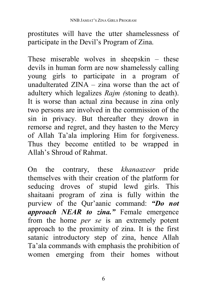prostitutes will have the utter shamelessness of participate in the Devil's Program of Zina.

These miserable wolves in sheepskin – these devils in human form are now shamelessly calling young girls to participate in a program of unadulterated ZINA – zina worse than the act of adultery which legalizes *Rajm (*stoning to death). It is worse than actual zina because in zina only two persons are involved in the commission of the sin in privacy. But thereafter they drown in remorse and regret, and they hasten to the Mercy of Allah Ta'ala imploring Him for forgiveness. Thus they become entitled to be wrapped in Allah's Shroud of Rahmat.

On the contrary, these *khanaazeer* pride themselves with their creation of the platform for seducing droves of stupid lewd girls. This shaitaani program of zina is fully within the purview of the Qur'aanic command: *"Do not approach NEAR to zina."* Female emergence from the home *per se* is an extremely potent approach to the proximity of zina. It is the first satanic introductory step of zina, hence Allah Ta'ala commands with emphasis the prohibition of women emerging from their homes without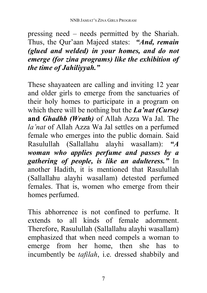pressing need – needs permitted by the Shariah. Thus, the Qur'aan Majeed states: *"And, remain (glued and welded) in your homes, and do not emerge (for zina programs) like the exhibition of the time of Jahiliyyah."* 

These shayaateen are calling and inviting 12 year and older girls to emerge from the sanctuaries of their holy homes to participate in a program on which there will be nothing but the *La'nat (Curse)*  **and** *Ghadhb (Wrath)* of Allah Azza Wa Jal. The *la'nat* of Allah Azza Wa Jal settles on a perfumed female who emerges into the public domain. Said Rasulullah (Sallallahu alayhi wasallam): *"A woman who applies perfume and passes by a gathering of people, is like an adulteress."* In another Hadith, it is mentioned that Rasulullah (Sallallahu alayhi wasallam) detested perfumed females. That is, women who emerge from their homes perfumed.

This abhorrence is not confined to perfume. It extends to all kinds of female adornment. Therefore, Rasulullah (Sallallahu alayhi wasallam) emphasized that when need compels a woman to emerge from her home, then she has to incumbently be *tafilah*, i.e. dressed shabbily and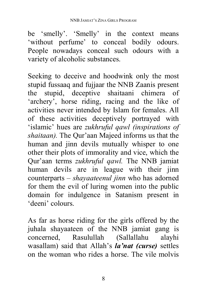be 'smelly'. 'Smelly' in the context means 'without perfume' to conceal bodily odours. People nowadays conceal such odours with a variety of alcoholic substances.

Seeking to deceive and hoodwink only the most stupid fussaaq and fujjaar the NNB Zaanis present the stupid, deceptive shaitaani chimera of 'archery', horse riding, racing and the like of activities never intended by Islam for females. All of these activities deceptively portrayed with 'islamic' hues are *zukhruful qawl (inspirations of shaitaan).* The Qur'aan Majeed informs us that the human and jinn devils mutually whisper to one other their plots of immorality and vice, which the Qur'aan terms *zukhruful qawl.* The NNB jamiat human devils are in league with their jinn counterparts – *shayaateenul jinn* who has adorned for them the evil of luring women into the public domain for indulgence in Satanism present in 'deeni' colours.

As far as horse riding for the girls offered by the juhala shayaateen of the NNB jamiat gang is concerned, Rasulullah (Sallallahu alayhi wasallam) said that Allah's *la'nat (curse)* settles on the woman who rides a horse. The vile molvis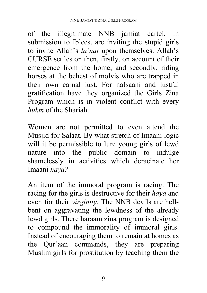of the illegitimate NNB jamiat cartel, in submission to Iblees, are inviting the stupid girls to invite Allah's *la'nat* upon themselves. Allah's CURSE settles on then, firstly, on account of their emergence from the home, and secondly, riding horses at the behest of molvis who are trapped in their own carnal lust. For nafsaani and lustful gratification have they organized the Girls Zina Program which is in violent conflict with every *hukm* of the Shariah.

Women are not permitted to even attend the Musjid for Salaat. By what stretch of Imaani logic will it be permissible to lure young girls of lewd nature into the public domain to indulge shamelessly in activities which deracinate her Imaani *haya?*

An item of the immoral program is racing. The racing for the girls is destructive for their *haya* and even for their *virginity.* The NNB devils are hellbent on aggravating the lewdness of the already lewd girls. There haraam zina program is designed to compound the immorality of immoral girls. Instead of encouraging them to remain at homes as the Qur'aan commands, they are preparing Muslim girls for prostitution by teaching them the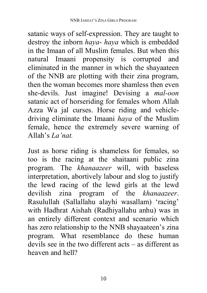satanic ways of self-expression. They are taught to destroy the inborn *haya*- *haya* which is embedded in the Imaan of all Muslim females. But when this natural Imaani propensity is corrupted and eliminated in the manner in which the shayaateen of the NNB are plotting with their zina program, then the woman becomes more shamless then even she-devils. Just imagine! Devising a *mal-oon*  satanic act of horseriding for females whom Allah Azza Wa jal curses. Horse riding and vehicledriving eliminate the Imaani *haya* of the Muslim female, hence the extremely severe warning of Allah's *La'nat.*

Just as horse riding is shameless for females, so too is the racing at the shaitaani public zina program. The *khanaazeer* will, with baseless interpretation, abortively labour and slog to justify the lewd racing of the lewd girls at the lewd devilish zina program of the *khanaazeer*. Rasulullah (Sallallahu alayhi wasallam) 'racing' with Hadhrat Aishah (Radhiyallahu anhu) was in an entirely different context and scenario which has zero relationship to the NNB shayaateen's zina program. What resemblance do these human devils see in the two different acts – as different as heaven and hell?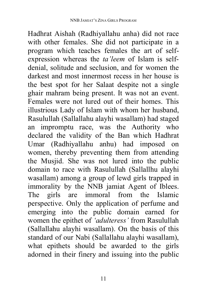Hadhrat Aishah (Radhiyallahu anha) did not race with other females. She did not participate in a program which teaches females the art of selfexpression whereas the *ta'leem* of Islam is selfdenial, solitude and seclusion, and for women the darkest and most innermost recess in her house is the best spot for her Salaat despite not a single ghair mahram being present. It was not an event. Females were not lured out of their homes. This illustrious Lady of Islam with whom her husband, Rasulullah (Sallallahu alayhi wasallam) had staged an impromptu race, was the Authority who declared the validity of the Ban which Hadhrat Umar (Radhiyallahu anhu) had imposed on women, thereby preventing them from attending the Musjid. She was not lured into the public domain to race with Rasulullah (Sallallhu alayhi wasallam) among a group of lewd girls trapped in immorality by the NNB jamiat Agent of Iblees. The girls are immoral from the Islamic perspective. Only the application of perfume and emerging into the public domain earned for women the epithet of *'adulteress'* from Rasulullah (Sallallahu alayhi wasallam). On the basis of this standard of our Nabi (Sallallahu alayhi wasallam), what epithets should be awarded to the girls adorned in their finery and issuing into the public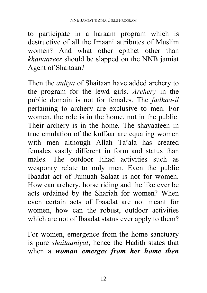to participate in a haraam program which is destructive of all the Imaani attributes of Muslim women? And what other epithet other than *khanaazeer* should be slapped on the NNB jamiat Agent of Shaitaan?

Then the *auliya* of Shaitaan have added archery to the program for the lewd girls. *Archery* in the public domain is not for females. The *fadhaa-il* pertaining to archery are exclusive to men. For women, the role is in the home, not in the public. Their archery is in the home. The shayaateen in true emulation of the kuffaar are equating women with men although Allah Ta'ala has created females vastly different in form and status than males. The outdoor Jihad activities such as weaponry relate to only men. Even the public Ibaadat act of Jumuah Salaat is not for women. How can archery, horse riding and the like ever be acts ordained by the Shariah for women? When even certain acts of Ibaadat are not meant for women, how can the robust, outdoor activities which are not of Ibaadat status ever apply to them?

For women, emergence from the home sanctuary is pure *shaitaaniyat*, hence the Hadith states that when a *woman emerges from her home then*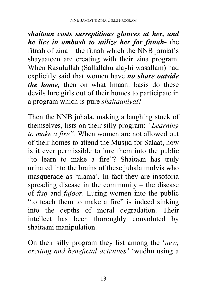*shaitaan casts surreptitious glances at her, and he lies in ambush to utilize her for fitnah-* the fitnah of zina – the fitnah which the NNB jamiat's shayaateen are creating with their zina program. When Rasulullah (Sallallahu alayhi wasallam) had explicitly said that women have *no share outside the home,* then on what Imaani basis do these devils lure girls out of their homes to participate in a program which is pure *shaitaaniyat*?

Then the NNB juhala, making a laughing stock of themselves, lists on their silly program: *"Learning to make a fire".* When women are not allowed out of their homes to attend the Musjid for Salaat, how is it ever permissible to lure them into the public "to learn to make a fire"? Shaitaan has truly urinated into the brains of these juhala molvis who masquerade as 'ulama'. In fact they are insoforia spreading disease in the community – the disease of *fisq* and *fujoor*. Luring women into the public "to teach them to make a fire" is indeed sinking into the depths of moral degradation. Their intellect has been thoroughly convoluted by shaitaani manipulation.

On their silly program they list among the '*new, exciting and beneficial activities'* 'wudhu using a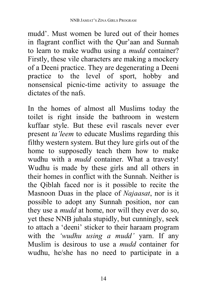mudd'. Must women be lured out of their homes in flagrant conflict with the Qur'aan and Sunnah to learn to make wudhu using a *mudd* container? Firstly, these vile characters are making a mockery of a Deeni practice. They are degenerating a Deeni practice to the level of sport, hobby and nonsensical picnic-time activity to assuage the dictates of the nafs.

In the homes of almost all Muslims today the toilet is right inside the bathroom in western kuffaar style. But these evil rascals never ever present *ta'leem* to educate Muslims regarding this filthy western system. But they lure girls out of the home to supposedly teach them how to make wudhu with a *mudd* container. What a travesty! Wudhu is made by these girls and all others in their homes in conflict with the Sunnah. Neither is the Qiblah faced nor is it possible to recite the Masnoon Duas in the place of *Najaasat*, nor is it possible to adopt any Sunnah position, nor can they use a *mudd* at home, nor will they ever do so, yet these NNB juhala stupidly, but cunningly, seek to attach a 'deeni' sticker to their haraam program with the *'wudhu using a mudd'* yarn. If any Muslim is desirous to use a *mudd* container for wudhu, he/she has no need to participate in a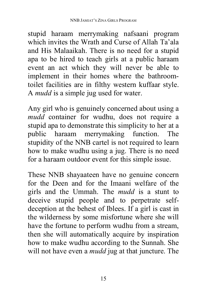stupid haraam merrymaking nafsaani program which invites the Wrath and Curse of Allah Ta'ala and His Malaaikah. There is no need for a stupid apa to be hired to teach girls at a public haraam event an act which they will never be able to implement in their homes where the bathroomtoilet facilities are in filthy western kuffaar style. A *mudd* is a simple jug used for water.

Any girl who is genuinely concerned about using a *mudd* container for wudhu, does not require a stupid apa to demonstrate this simplicity to her at a public haraam merrymaking function. The stupidity of the NNB cartel is not required to learn how to make wudhu using a jug. There is no need for a haraam outdoor event for this simple issue.

These NNB shayaateen have no genuine concern for the Deen and for the Imaani welfare of the girls and the Ummah. The *mudd* is a stunt to deceive stupid people and to perpetrate selfdeception at the behest of Iblees. If a girl is cast in the wilderness by some misfortune where she will have the fortune to perform wudhu from a stream, then she will automatically acquire by inspiration how to make wudhu according to the Sunnah. She will not have even a *mudd* jug at that juncture. The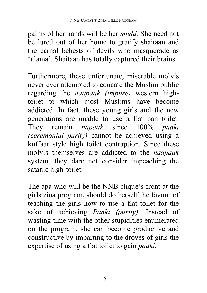palms of her hands will be her *mudd.* She need not be lured out of her home to gratify shaitaan and the carnal behests of devils who masquerade as 'ulama'. Shaitaan has totally captured their brains.

Furthermore, these unfortunate, miserable molvis never ever attempted to educate the Muslim public regarding the *naapaak (impure)* western hightoilet to which most Muslims have become addicted. In fact, these young girls and the new generations are unable to use a flat pan toilet. They remain *napaak* since 100% *paaki (ceremonial purity)* cannot be achieved using a kuffaar style high toilet contraption. Since these molvis themselves are addicted to the *naapaak* system, they dare not consider impeaching the satanic high-toilet.

The apa who will be the NNB clique's front at the girls zina program, should do herself the favour of teaching the girls how to use a flat toilet for the sake of achieving *Paaki (purity).* Instead of wasting time with the other stupidities enumerated on the program, she can become productive and constructive by imparting to the droves of girls the expertise of using a flat toilet to gain *paaki.*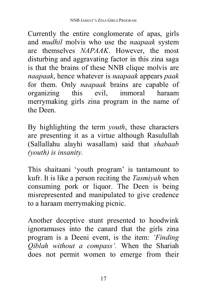Currently the entire conglomerate of apas, girls and *mudhil* molvis who use the *naapaak* system are themselves *NAPAAK*. However, the most disturbing and aggravating factor in this zina saga is that the brains of these NNB clique molvis are *naapaak*, hence whatever is *naapaak* appears *paak* for them. Only *naapaak* brains are capable of organizing this evil, immoral haraam merrymaking girls zina program in the name of the Deen.

By highlighting the term *youth*, these characters are presenting it as a virtue although Rasulullah (Sallallahu alayhi wasallam) said that *shabaab (youth) is insanity.*

This shaitaani 'youth program' is tantamount to kufr. It is like a person reciting the *Tasmiyah* when consuming pork or liquor. The Deen is being misrepresented and manipulated to give credence to a haraam merrymaking picnic.

Another deceptive stunt presented to hoodwink ignoramuses into the canard that the girls zina program is a Deeni event, is the item: *'Finding Qiblah without a compass'.* When the Shariah does not permit women to emerge from their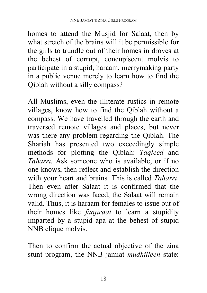homes to attend the Musjid for Salaat, then by what stretch of the brains will it be permissible for the girls to trundle out of their homes in droves at the behest of corrupt, concupiscent molvis to participate in a stupid, haraam, merrymaking party in a public venue merely to learn how to find the Qiblah without a silly compass?

All Muslims, even the illiterate rustics in remote villages, know how to find the Qiblah without a compass. We have travelled through the earth and traversed remote villages and places, but never was there any problem regarding the Qiblah. The Shariah has presented two exceedingly simple methods for plotting the Qiblah: *Taqleed* and *Taharri.* Ask someone who is available, or if no one knows, then reflect and establish the direction with your heart and brains. This is called *Taharri*. Then even after Salaat it is confirmed that the wrong direction was faced, the Salaat will remain valid. Thus, it is haraam for females to issue out of their homes like *faajiraat* to learn a stupidity imparted by a stupid apa at the behest of stupid NNB clique molvis.

Then to confirm the actual objective of the zina stunt program, the NNB jamiat *mudhilleen* state: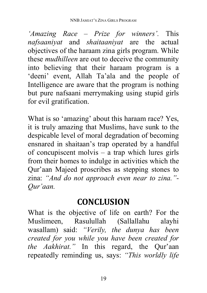*'Amazing Race – Prize for winners'.* This *nafsaaniyat* and *shaitaaniyat* are the actual objectives of the haraam zina girls program. While these *mudhilleen* are out to deceive the community into believing that their haraam program is a 'deeni' event, Allah Ta'ala and the people of Intelligence are aware that the program is nothing but pure nafsaani merrymaking using stupid girls for evil gratification.

What is so 'amazing' about this haraam race? Yes, it is truly amazing that Muslims, have sunk to the despicable level of moral degradation of becoming ensnared in shaitaan's trap operated by a handful of concupiscent molvis – a trap which lures girls from their homes to indulge in activities which the Qur'aan Majeed proscribes as stepping stones to zina: *"And do not approach even near to zina."- Qur'aan.*

# **CONCLUSION**

What is the objective of life on earth? For the Muslimeen, Rasulullah (Sallallahu alayhi wasallam) said: *"Verily, the dunya has been created for you while you have been created for the Aakhirat."* In this regard, the Qur'aan repeatedly reminding us, says: *"This worldly life*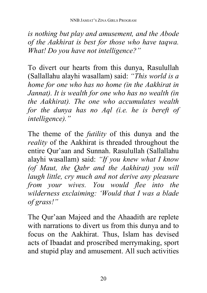*is nothing but play and amusement, and the Abode of the Aakhirat is best for those who have taqwa. What! Do you have not intelligence?"* 

To divert our hearts from this dunya, Rasulullah (Sallallahu alayhi wasallam) said: *"This world is a home for one who has no home (in the Aakhirat in Jannat). It is wealth for one who has no wealth (in the Aakhirat). The one who accumulates wealth for the dunya has no Aql (i.e. he is bereft of intelligence)."* 

The theme of the *futility* of this dunya and the *reality* of the Aakhirat is threaded throughout the entire Qur'aan and Sunnah. Rasulullah (Sallallahu alayhi wasallam) said: *"If you knew what I know (of Maut, the Qabr and the Aakhirat) you will laugh little, cry much and not derive any pleasure from your wives. You would flee into the wilderness exclaiming: 'Would that I was a blade of grass!"* 

The Qur'aan Majeed and the Ahaadith are replete with narrations to divert us from this dunya and to focus on the Aakhirat. Thus, Islam has devised acts of Ibaadat and proscribed merrymaking, sport and stupid play and amusement. All such activities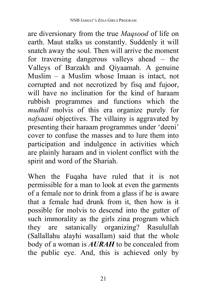are diversionary from the true *Maqsood* of life on earth. Maut stalks us constantly. Suddenly it will snatch away the soul. Then will arrive the moment for traversing dangerous valleys ahead – the Valleys of Barzakh and Qiyaamah. A genuine Muslim – a Muslim whose Imaan is intact, not corrupted and not necrotized by fisq and fujoor, will have no inclination for the kind of haraam rubbish programmes and functions which the *mudhil* molvis of this era organize purely for *nafsaani* objectives. The villainy is aggravated by presenting their haraam programmes under 'deeni' cover to confuse the masses and to lure them into participation and indulgence in activities which are plainly haraam and in violent conflict with the spirit and word of the Shariah.

When the Fuqaha have ruled that it is not permissible for a man to look at even the garments of a female nor to drink from a glass if he is aware that a female had drunk from it, then how is it possible for molvis to descend into the gutter of such immorality as the girls zina program which they are satanically organizing? Rasulullah (Sallallahu alayhi wasallam) said that the whole body of a woman is *AURAH* to be concealed from the public eye. And, this is achieved only by